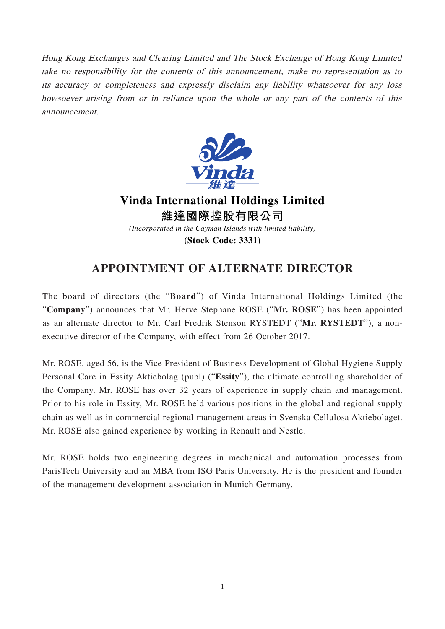Hong Kong Exchanges and Clearing Limited and The Stock Exchange of Hong Kong Limited take no responsibility for the contents of this announcement, make no representation as to its accuracy or completeness and expressly disclaim any liability whatsoever for any loss howsoever arising from or in reliance upon the whole or any part of the contents of this announcement.



**Vinda International Holdings Limited 維達國際控股有限公司** *(Incorporated in the Cayman Islands with limited liability)*

**(Stock Code: 3331)**

## **APPOINTMENT OF ALTERNATE DIRECTOR**

The board of directors (the "**Board**") of Vinda International Holdings Limited (the "**Company**") announces that Mr. Herve Stephane ROSE ("**Mr. ROSE**") has been appointed as an alternate director to Mr. Carl Fredrik Stenson RYSTEDT ("**Mr. RYSTEDT**"), a nonexecutive director of the Company, with effect from 26 October 2017.

Mr. ROSE, aged 56, is the Vice President of Business Development of Global Hygiene Supply Personal Care in Essity Aktiebolag (publ) ("**Essity**"), the ultimate controlling shareholder of the Company. Mr. ROSE has over 32 years of experience in supply chain and management. Prior to his role in Essity, Mr. ROSE held various positions in the global and regional supply chain as well as in commercial regional management areas in Svenska Cellulosa Aktiebolaget. Mr. ROSE also gained experience by working in Renault and Nestle.

Mr. ROSE holds two engineering degrees in mechanical and automation processes from ParisTech University and an MBA from ISG Paris University. He is the president and founder of the management development association in Munich Germany.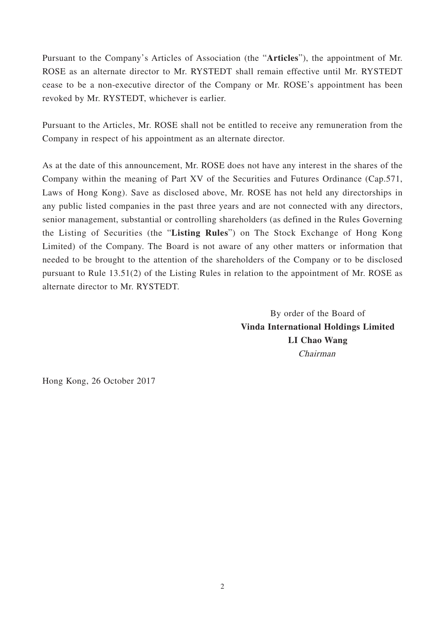Pursuant to the Company's Articles of Association (the "**Articles**"), the appointment of Mr. ROSE as an alternate director to Mr. RYSTEDT shall remain effective until Mr. RYSTEDT cease to be a non-executive director of the Company or Mr. ROSE's appointment has been revoked by Mr. RYSTEDT, whichever is earlier.

Pursuant to the Articles, Mr. ROSE shall not be entitled to receive any remuneration from the Company in respect of his appointment as an alternate director.

As at the date of this announcement, Mr. ROSE does not have any interest in the shares of the Company within the meaning of Part XV of the Securities and Futures Ordinance (Cap.571, Laws of Hong Kong). Save as disclosed above, Mr. ROSE has not held any directorships in any public listed companies in the past three years and are not connected with any directors, senior management, substantial or controlling shareholders (as defined in the Rules Governing the Listing of Securities (the "**Listing Rules**") on The Stock Exchange of Hong Kong Limited) of the Company. The Board is not aware of any other matters or information that needed to be brought to the attention of the shareholders of the Company or to be disclosed pursuant to Rule 13.51(2) of the Listing Rules in relation to the appointment of Mr. ROSE as alternate director to Mr. RYSTEDT.

> By order of the Board of **Vinda International Holdings Limited LI Chao Wang** Chairman

Hong Kong, 26 October 2017